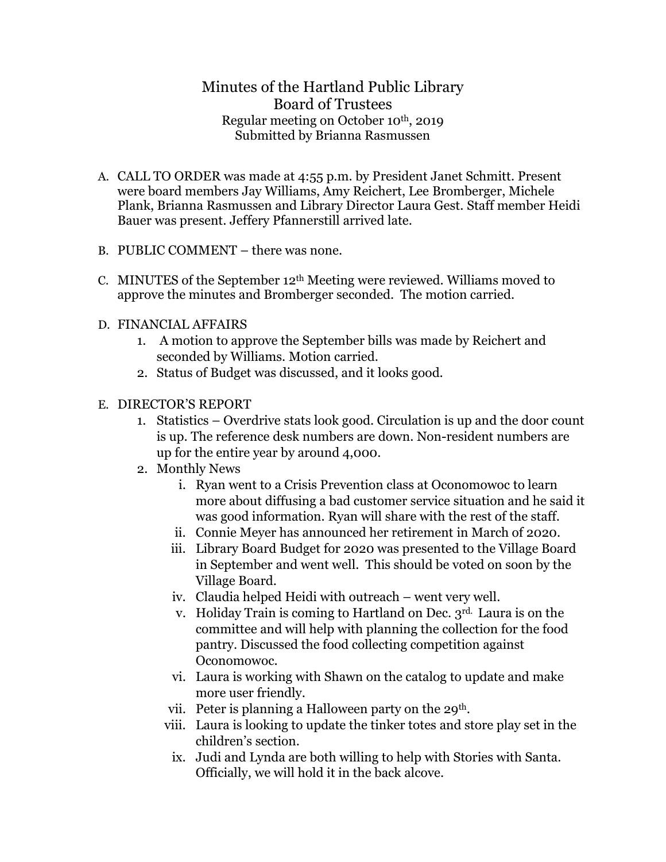## Minutes of the Hartland Public Library Board of Trustees Regular meeting on October 10th, 2019 Submitted by Brianna Rasmussen

- A. CALL TO ORDER was made at 4:55 p.m. by President Janet Schmitt. Present were board members Jay Williams, Amy Reichert, Lee Bromberger, Michele Plank, Brianna Rasmussen and Library Director Laura Gest. Staff member Heidi Bauer was present. Jeffery Pfannerstill arrived late.
- B. PUBLIC COMMENT there was none.
- C. MINUTES of the September  $12<sup>th</sup>$  Meeting were reviewed. Williams moved to approve the minutes and Bromberger seconded. The motion carried.
- D. FINANCIAL AFFAIRS
	- 1. A motion to approve the September bills was made by Reichert and seconded by Williams. Motion carried.
	- 2. Status of Budget was discussed, and it looks good.
- E. DIRECTOR'S REPORT
	- 1. Statistics Overdrive stats look good. Circulation is up and the door count is up. The reference desk numbers are down. Non-resident numbers are up for the entire year by around 4,000.
	- 2. Monthly News
		- i. Ryan went to a Crisis Prevention class at Oconomowoc to learn more about diffusing a bad customer service situation and he said it was good information. Ryan will share with the rest of the staff.
		- ii. Connie Meyer has announced her retirement in March of 2020.
		- iii. Library Board Budget for 2020 was presented to the Village Board in September and went well. This should be voted on soon by the Village Board.
		- iv. Claudia helped Heidi with outreach went very well.
		- v. Holiday Train is coming to Hartland on Dec. 3rd. Laura is on the committee and will help with planning the collection for the food pantry. Discussed the food collecting competition against Oconomowoc.
		- vi. Laura is working with Shawn on the catalog to update and make more user friendly.
		- vii. Peter is planning a Halloween party on the 29<sup>th</sup>.
		- viii. Laura is looking to update the tinker totes and store play set in the children's section.
		- ix. Judi and Lynda are both willing to help with Stories with Santa. Officially, we will hold it in the back alcove.